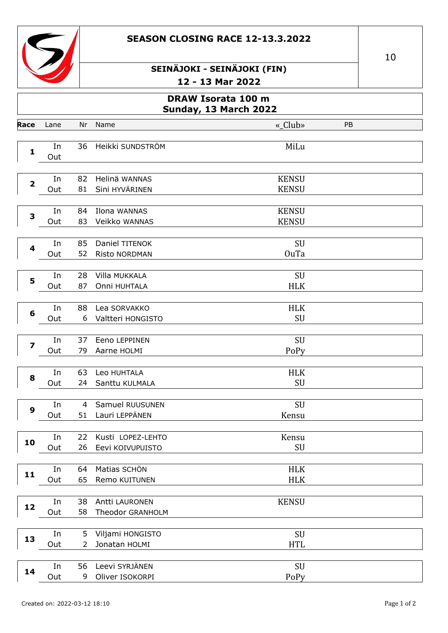



| <b>DRAW Isorata 100 m</b><br><b>Sunday, 13 March 2022</b> |           |                      |                                        |                              |    |  |
|-----------------------------------------------------------|-----------|----------------------|----------------------------------------|------------------------------|----|--|
| Race                                                      | Lane      | Nr                   | Name                                   | «_Club»                      | PB |  |
| 1                                                         | In<br>Out | 36                   | Heikki SUNDSTRÖM                       | MiLu                         |    |  |
| $\overline{\mathbf{2}}$                                   | In<br>Out | 82<br>81             | Helinä WANNAS<br>Sini HYVÄRINEN        | <b>KENSU</b><br><b>KENSU</b> |    |  |
| 3                                                         | In<br>Out | 84<br>83             | Ilona WANNAS<br>Veikko WANNAS          | <b>KENSU</b><br><b>KENSU</b> |    |  |
| 4                                                         | In<br>Out | 85<br>52             | Daniel TITENOK<br><b>Risto NORDMAN</b> | SU<br><b>OuTa</b>            |    |  |
| 5                                                         | In<br>Out | 28<br>87             | Villa MUKKALA<br>Onni HUHTALA          | SU<br><b>HLK</b>             |    |  |
| $6\phantom{1}6$                                           | In<br>Out | 88<br>6              | Lea SORVAKKO<br>Valtteri HONGISTO      | <b>HLK</b><br>SU             |    |  |
| $\overline{\mathbf{z}}$                                   | In<br>Out | 37<br>79             | Eeno LEPPINEN<br>Aarne HOLMI           | SU<br>PoPy                   |    |  |
| 8                                                         | In<br>Out | 63<br>24             | Leo HUHTALA<br>Santtu KULMALA          | <b>HLK</b><br>SU             |    |  |
| 9                                                         | In<br>Out | $\overline{4}$<br>51 | Samuel RUUSUNEN<br>Lauri LEPPÄNEN      | SU<br>Kensu                  |    |  |
| 10                                                        | In<br>Out | 22<br>26             | Kusti LOPEZ-LEHTO<br>Eevi KOIVUPUISTO  | Kensu<br>SU                  |    |  |
| 11                                                        | In<br>Out | 64<br>65             | Matias SCHÖN<br>Remo KUITUNEN          | <b>HLK</b><br><b>HLK</b>     |    |  |
| 12                                                        | In<br>Out | 38<br>58             | Antti LAURONEN<br>Theodor GRANHOLM     | <b>KENSU</b>                 |    |  |
| 13                                                        | In<br>Out | 5<br>$\overline{2}$  | Viljami HONGISTO<br>Jonatan HOLMI      | SU<br><b>HTL</b>             |    |  |
| 14                                                        | In<br>Out | 56<br>9              | Leevi SYRJÄNEN<br>Oliver ISOKORPI      | SU<br>PoPy                   |    |  |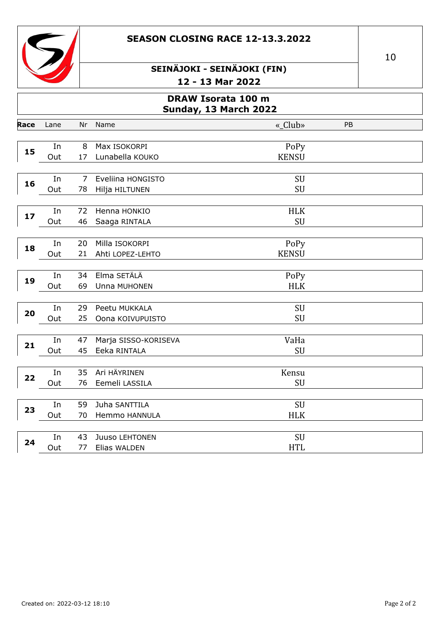



|      | <b>DRAW Isorata 100 m</b><br>Sunday, 13 March 2022 |    |                      |              |    |  |  |  |
|------|----------------------------------------------------|----|----------------------|--------------|----|--|--|--|
| Race | Lane                                               | Nr | Name                 | «_Club»      | PB |  |  |  |
|      |                                                    |    |                      |              |    |  |  |  |
| 15   | In                                                 | 8  | Max ISOKORPI         | PoPy         |    |  |  |  |
|      | Out                                                | 17 | Lunabella KOUKO      | <b>KENSU</b> |    |  |  |  |
|      | In                                                 | 7  | Eveliina HONGISTO    | SU           |    |  |  |  |
| 16   | Out                                                | 78 | Hilja HILTUNEN       | SU           |    |  |  |  |
|      |                                                    |    |                      |              |    |  |  |  |
|      | In                                                 | 72 | Henna HONKIO         | <b>HLK</b>   |    |  |  |  |
| 17   | Out                                                | 46 | Saaga RINTALA        | SU           |    |  |  |  |
|      |                                                    |    |                      |              |    |  |  |  |
| 18   | In                                                 | 20 | Milla ISOKORPI       | PoPy         |    |  |  |  |
|      | Out                                                | 21 | Ahti LOPEZ-LEHTO     | <b>KENSU</b> |    |  |  |  |
|      |                                                    |    |                      |              |    |  |  |  |
| 19   | In                                                 | 34 | Elma SETÄLÄ          | PoPy         |    |  |  |  |
|      | Out                                                | 69 | Unna MUHONEN         | <b>HLK</b>   |    |  |  |  |
|      |                                                    |    |                      |              |    |  |  |  |
| 20   | In                                                 | 29 | Peetu MUKKALA        | SU           |    |  |  |  |
|      | Out                                                | 25 | Oona KOIVUPUISTO     | SU           |    |  |  |  |
|      | In                                                 | 47 | Marja SISSO-KORISEVA | VaHa         |    |  |  |  |
| 21   | Out                                                | 45 | Eeka RINTALA         | SU           |    |  |  |  |
|      |                                                    |    |                      |              |    |  |  |  |
|      | In                                                 | 35 | Ari HÄYRINEN         | Kensu        |    |  |  |  |
| 22   | Out                                                | 76 | Eemeli LASSILA       | SU           |    |  |  |  |
|      |                                                    |    |                      |              |    |  |  |  |
| 23   | In                                                 | 59 | Juha SANTTILA        | SU           |    |  |  |  |
|      | Out                                                | 70 | Hemmo HANNULA        | <b>HLK</b>   |    |  |  |  |
|      |                                                    |    |                      |              |    |  |  |  |
| 24   | In                                                 | 43 | Juuso LEHTONEN       | SU           |    |  |  |  |
|      | Out                                                | 77 | Elias WALDEN         | <b>HTL</b>   |    |  |  |  |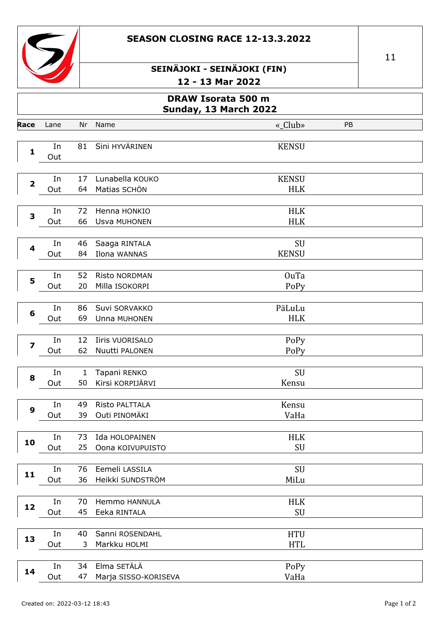



#### SEINÄJOKI - SEINÄJOKI (FIN) - 13 Mar 2022  $\ddot{\phantom{1}}$

|                                                    |           |              | ∸∸                                 | - געה ויום כב |    |  |  |
|----------------------------------------------------|-----------|--------------|------------------------------------|---------------|----|--|--|
| <b>DRAW Isorata 500 m</b><br>Sunday, 13 March 2022 |           |              |                                    |               |    |  |  |
| Race                                               | Lane      | Nr           | Name                               | «_Club»       | PB |  |  |
|                                                    | In        | 81           | Sini HYVÄRINEN                     | <b>KENSU</b>  |    |  |  |
| $\mathbf{1}$                                       | Out       |              |                                    |               |    |  |  |
|                                                    |           |              |                                    |               |    |  |  |
| $\mathbf 2$                                        | In        | 17           | Lunabella KOUKO                    | <b>KENSU</b>  |    |  |  |
|                                                    | Out       | 64           | Matias SCHÖN                       | <b>HLK</b>    |    |  |  |
|                                                    | In        | 72           | Henna HONKIO                       | <b>HLK</b>    |    |  |  |
| 3                                                  | Out       | 66           | Usva MUHONEN                       | <b>HLK</b>    |    |  |  |
|                                                    |           |              |                                    |               |    |  |  |
| 4                                                  | In        | 46           | Saaga RINTALA                      | SU            |    |  |  |
|                                                    | Out       | 84           | Ilona WANNAS                       | <b>KENSU</b>  |    |  |  |
|                                                    |           | 52           |                                    | <b>OuTa</b>   |    |  |  |
| 5                                                  | In<br>Out | 20           | Risto NORDMAN<br>Milla ISOKORPI    | PoPy          |    |  |  |
|                                                    |           |              |                                    |               |    |  |  |
|                                                    | In        | 86           | Suvi SORVAKKO                      | PäLuLu        |    |  |  |
| $\boldsymbol{6}$                                   | Out       | 69           | Unna MUHONEN                       | <b>HLK</b>    |    |  |  |
|                                                    |           |              |                                    |               |    |  |  |
| $\overline{\mathbf{z}}$                            | In<br>Out | 12<br>62     | Iiris VUORISALO<br>Nuutti PALONEN  | PoPy<br>PoPy  |    |  |  |
|                                                    |           |              |                                    |               |    |  |  |
|                                                    | In        | $\mathbf{1}$ | Tapani RENKO                       | SU            |    |  |  |
| 8                                                  | Out       | 50           | Kirsi KORPIJÄRVI                   | Kensu         |    |  |  |
|                                                    |           |              |                                    |               |    |  |  |
| 9                                                  | In<br>Out | 49<br>39     | Risto PALTTALA<br>Outi PINOMÄKI    | Kensu<br>VaHa |    |  |  |
|                                                    |           |              |                                    |               |    |  |  |
|                                                    | In        | 73           | Ida HOLOPAINEN                     | <b>HLK</b>    |    |  |  |
| 10                                                 | Out       | 25           | Oona KOIVUPUISTO                   | SU            |    |  |  |
|                                                    |           |              |                                    |               |    |  |  |
| 11                                                 | In        | 76<br>36     | Eemeli LASSILA<br>Heikki SUNDSTRÖM | SU            |    |  |  |
|                                                    | Out       |              |                                    | MiLu          |    |  |  |
|                                                    | In        | 70           | Hemmo HANNULA                      | <b>HLK</b>    |    |  |  |
| 12                                                 | Out       | 45           | Eeka RINTALA                       | SU            |    |  |  |
|                                                    |           |              |                                    |               |    |  |  |
| 13                                                 | In        | 40           | Sanni ROSENDAHL                    | <b>HTU</b>    |    |  |  |
|                                                    | Out       | 3            | Markku HOLMI                       | <b>HTL</b>    |    |  |  |
|                                                    | In        | 34           | Elma SETÄLÄ                        | PoPy          |    |  |  |
| 14                                                 | Out       | 47           | Marja SISSO-KORISEVA               | VaHa          |    |  |  |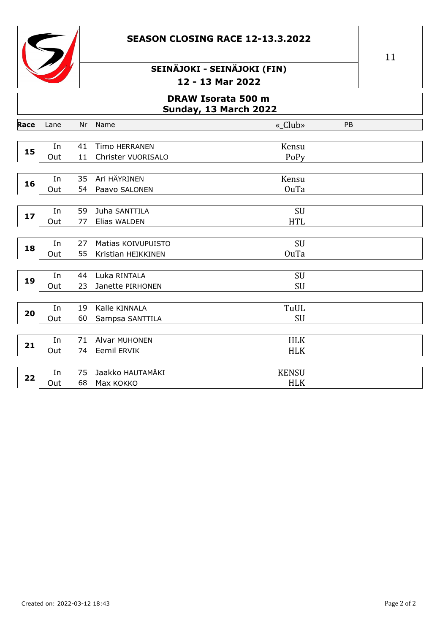



| DRAW Isorata 500 m<br>Sunday, 13 March 2022 |           |          |                                          |                            |    |  |  |
|---------------------------------------------|-----------|----------|------------------------------------------|----------------------------|----|--|--|
| Race                                        | Lane      | Nr       | Name                                     | «_Club»                    | PB |  |  |
| 15                                          | In<br>Out | 41<br>11 | Timo HERRANEN<br>Christer VUORISALO      | Kensu<br>PoPy              |    |  |  |
|                                             |           |          |                                          |                            |    |  |  |
| 16                                          | In<br>Out | 35<br>54 | Ari HÄYRINEN<br>Paavo SALONEN            | Kensu<br><b>OuTa</b>       |    |  |  |
| 17                                          | In<br>Out | 59<br>77 | Juha SANTTILA<br>Elias WALDEN            | SU<br><b>HTL</b>           |    |  |  |
| 18                                          | In<br>Out | 27<br>55 | Matias KOIVUPUISTO<br>Kristian HEIKKINEN | SU<br><b>OuTa</b>          |    |  |  |
| 19                                          | In<br>Out | 44<br>23 | Luka RINTALA<br>Janette PIRHONEN         | SU<br>SU                   |    |  |  |
| 20                                          | In<br>Out | 19<br>60 | Kalle KINNALA<br>Sampsa SANTTILA         | TuUL<br>SU                 |    |  |  |
| 21                                          | In<br>Out | 71<br>74 | Alvar MUHONEN<br><b>Eemil ERVIK</b>      | <b>HLK</b><br><b>HLK</b>   |    |  |  |
| 22                                          | In<br>Out | 75<br>68 | Jaakko HAUTAMÄKI<br>Max KOKKO            | <b>KENSU</b><br><b>HLK</b> |    |  |  |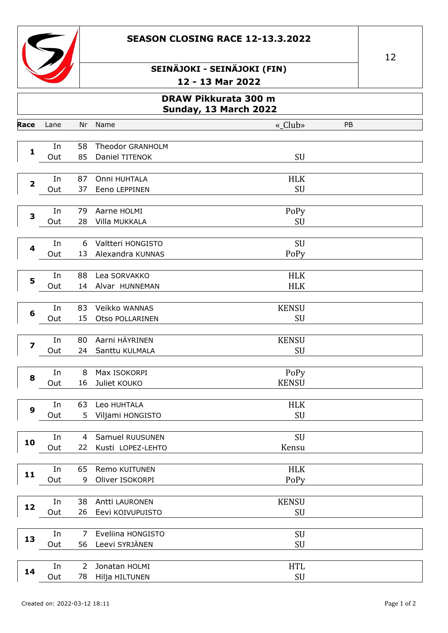



| DRAW Pikkurata 300 m<br><b>Sunday, 13 March 2022</b> |           |                      |                                       |                          |    |  |
|------------------------------------------------------|-----------|----------------------|---------------------------------------|--------------------------|----|--|
| Race                                                 | Lane      | Nr                   | Name                                  | «_Club»                  | PB |  |
| $\mathbf{1}$                                         | In<br>Out | 58<br>85             | Theodor GRANHOLM<br>Daniel TITENOK    | SU                       |    |  |
| $\overline{\mathbf{2}}$                              | In<br>Out | 87<br>37             | Onni HUHTALA<br>Eeno LEPPINEN         | <b>HLK</b><br>SU         |    |  |
| $\overline{\mathbf{3}}$                              | In<br>Out | 79<br>28             | Aarne HOLMI<br>Villa MUKKALA          | PoPy<br>SU               |    |  |
| 4                                                    | In<br>Out | 6<br>13              | Valtteri HONGISTO<br>Alexandra KUNNAS | SU<br>PoPy               |    |  |
| 5                                                    | In<br>Out | 88<br>14             | Lea SORVAKKO<br>Alvar HUNNEMAN        | <b>HLK</b><br><b>HLK</b> |    |  |
| 6                                                    | In<br>Out | 83<br>15             | Veikko WANNAS<br>Otso POLLARINEN      | <b>KENSU</b><br>SU       |    |  |
| $\overline{\mathbf{z}}$                              | In<br>Out | 80<br>24             | Aarni HÄYRINEN<br>Santtu KULMALA      | <b>KENSU</b><br>SU       |    |  |
| 8                                                    | In<br>Out | 8<br>16              | Max ISOKORPI<br>Juliet KOUKO          | PoPy<br><b>KENSU</b>     |    |  |
| 9                                                    | In<br>Out | 63<br>5              | Leo HUHTALA<br>Viljami HONGISTO       | <b>HLK</b><br>SU         |    |  |
| 10                                                   | In<br>Out | 4<br>22              | Samuel RUUSUNEN<br>Kusti LOPEZ-LEHTO  | SU<br>Kensu              |    |  |
| 11                                                   | In<br>Out | 65<br>9              | Remo KUITUNEN<br>Oliver ISOKORPI      | HLK<br>PoPy              |    |  |
| 12                                                   | In<br>Out | 38<br>26             | Antti LAURONEN<br>Eevi KOIVUPUISTO    | <b>KENSU</b><br>SU       |    |  |
| 13                                                   | In<br>Out | $\overline{7}$<br>56 | Eveliina HONGISTO<br>Leevi SYRJÄNEN   | SU<br>SU                 |    |  |
|                                                      | In        | $\overline{2}$       | Jonatan HOLMI                         | <b>HTL</b>               |    |  |

78 Hilja HILTUNEN

Out

14

 $\ensuremath{\mathrm{SU}}$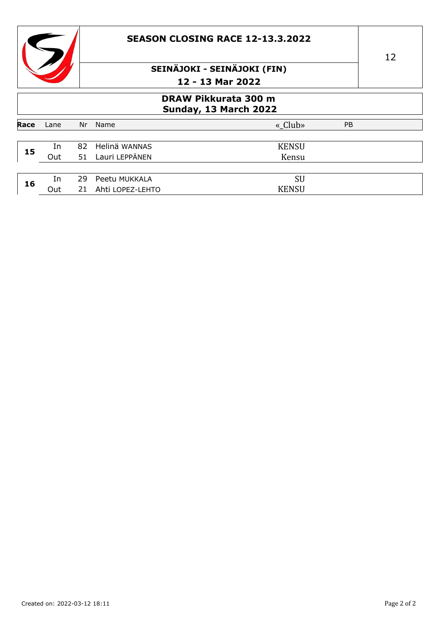|      | <b>SEASON CLOSING RACE 12-13.3.2022</b>              |           |                                 |                             |  |  |
|------|------------------------------------------------------|-----------|---------------------------------|-----------------------------|--|--|
|      |                                                      |           |                                 | SEINÄJOKI - SEINÄJOKI (FIN) |  |  |
|      |                                                      |           |                                 | 12 - 13 Mar 2022            |  |  |
|      | <b>DRAW Pikkurata 300 m</b><br>Sunday, 13 March 2022 |           |                                 |                             |  |  |
| Race | Lane                                                 | Nr        | Name                            | « Club»<br><b>PB</b>        |  |  |
| 15   | In<br>Out                                            | 82.<br>51 | Helinä WANNAS<br>Lauri LEPPÄNEN | <b>KENSU</b><br>Kensu       |  |  |
|      |                                                      |           |                                 |                             |  |  |
| 16   | In                                                   | 29        | Peetu MUKKALA                   | <b>SU</b>                   |  |  |
|      | Out                                                  | 21        | Ahti LOPEZ-LEHTO                | <b>KENSU</b>                |  |  |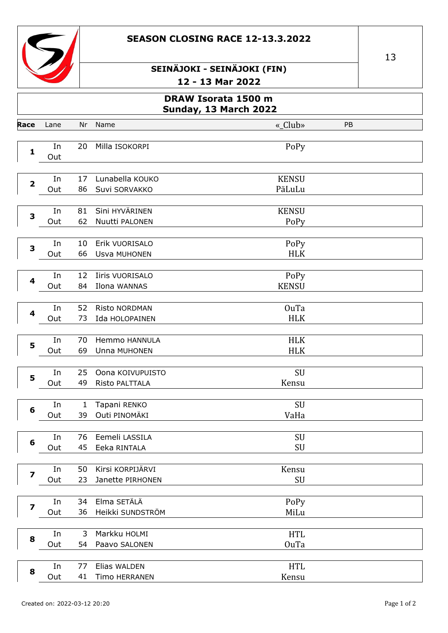



|                         | DRAW Isorata 1500 m<br><b>Sunday, 13 March 2022</b> |          |                                      |                           |    |  |  |
|-------------------------|-----------------------------------------------------|----------|--------------------------------------|---------------------------|----|--|--|
| Race                    | Lane                                                | Nr       | Name                                 | «_Club»                   | PB |  |  |
| $\mathbf{1}$            | In<br>Out                                           | 20       | Milla ISOKORPI                       | PoPy                      |    |  |  |
| $\overline{\mathbf{2}}$ | In<br>Out                                           | 17<br>86 | Lunabella KOUKO<br>Suvi SORVAKKO     | <b>KENSU</b><br>PäLuLu    |    |  |  |
| 3                       | In<br>Out                                           | 81<br>62 | Sini HYVÄRINEN<br>Nuutti PALONEN     | <b>KENSU</b><br>PoPy      |    |  |  |
| $\overline{\mathbf{3}}$ | In<br>Out                                           | 10<br>66 | Erik VUORISALO<br>Usva MUHONEN       | PoPy<br><b>HLK</b>        |    |  |  |
| 4                       | In<br>Out                                           | 12<br>84 | Iiris VUORISALO<br>Ilona WANNAS      | PoPy<br><b>KENSU</b>      |    |  |  |
| 4                       | In<br>Out                                           | 52<br>73 | Risto NORDMAN<br>Ida HOLOPAINEN      | <b>OuTa</b><br><b>HLK</b> |    |  |  |
| 5                       | In<br>Out                                           | 70<br>69 | Hemmo HANNULA<br>Unna MUHONEN        | <b>HLK</b><br><b>HLK</b>  |    |  |  |
| 5                       | In<br>Out                                           | 25<br>49 | Oona KOIVUPUISTO<br>Risto PALTTALA   | SU<br>Kensu               |    |  |  |
| 6                       | In<br>Out                                           | 1<br>39  | Tapani RENKO<br>Outi PINOMÄKI        | SU<br>VaHa                |    |  |  |
| 6                       | In<br>Out                                           | 76<br>45 | Eemeli LASSILA<br>Eeka RINTALA       | SU<br>SU                  |    |  |  |
| 7                       | In<br>Out                                           | 50<br>23 | Kirsi KORPIJÄRVI<br>Janette PIRHONEN | Kensu<br>SU               |    |  |  |
| $\overline{\mathbf{z}}$ | In<br>Out                                           | 34<br>36 | Elma SETÄLÄ<br>Heikki SUNDSTRÖM      | PoPy<br>MiLu              |    |  |  |
| 8                       | In<br>Out                                           | 3<br>54  | Markku HOLMI<br>Paavo SALONEN        | <b>HTL</b><br><b>OuTa</b> |    |  |  |
| 8                       | In<br>Out                                           | 77<br>41 | Elias WALDEN<br>Timo HERRANEN        | <b>HTL</b><br>Kensu       |    |  |  |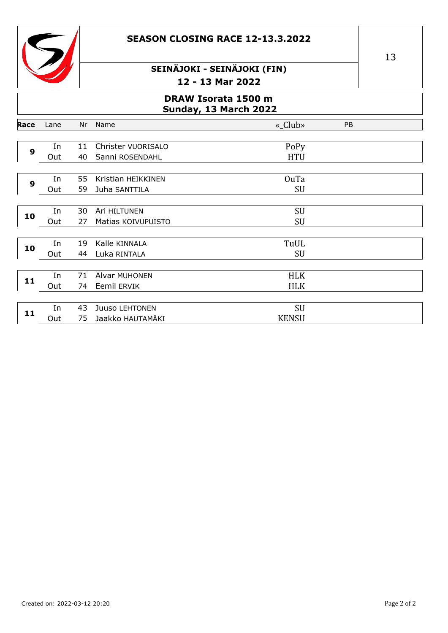



#### DRAW Isorata 1500 m Sunday, 13 March 2022

| Race         | Lane | Nr | Name                  | «_Club»      | PB |
|--------------|------|----|-----------------------|--------------|----|
|              |      |    |                       |              |    |
| 9            | In   | 11 | Christer VUORISALO    | PoPy         |    |
|              | Out  | 40 | Sanni ROSENDAHL       | <b>HTU</b>   |    |
|              |      |    |                       |              |    |
| $\mathbf{9}$ | In   | 55 | Kristian HEIKKINEN    | <b>OuTa</b>  |    |
|              | Out  | 59 | Juha SANTTILA         | SU           |    |
|              |      |    |                       |              |    |
|              | In   | 30 | Ari HILTUNEN          | SU           |    |
| 10           | Out  | 27 | Matias KOIVUPUISTO    | <b>SU</b>    |    |
|              |      |    |                       |              |    |
| 10           | In   | 19 | Kalle KINNALA         | TuUL         |    |
|              | Out  | 44 | Luka RINTALA          | <b>SU</b>    |    |
|              |      |    |                       |              |    |
| 11           | In   | 71 | Alvar MUHONEN         | <b>HLK</b>   |    |
|              | Out  | 74 | Eemil ERVIK           | <b>HLK</b>   |    |
|              |      |    |                       |              |    |
| 11           | In   | 43 | <b>Juuso LEHTONEN</b> | SU           |    |
|              | Out  | 75 | Jaakko HAUTAMÄKI      | <b>KENSU</b> |    |